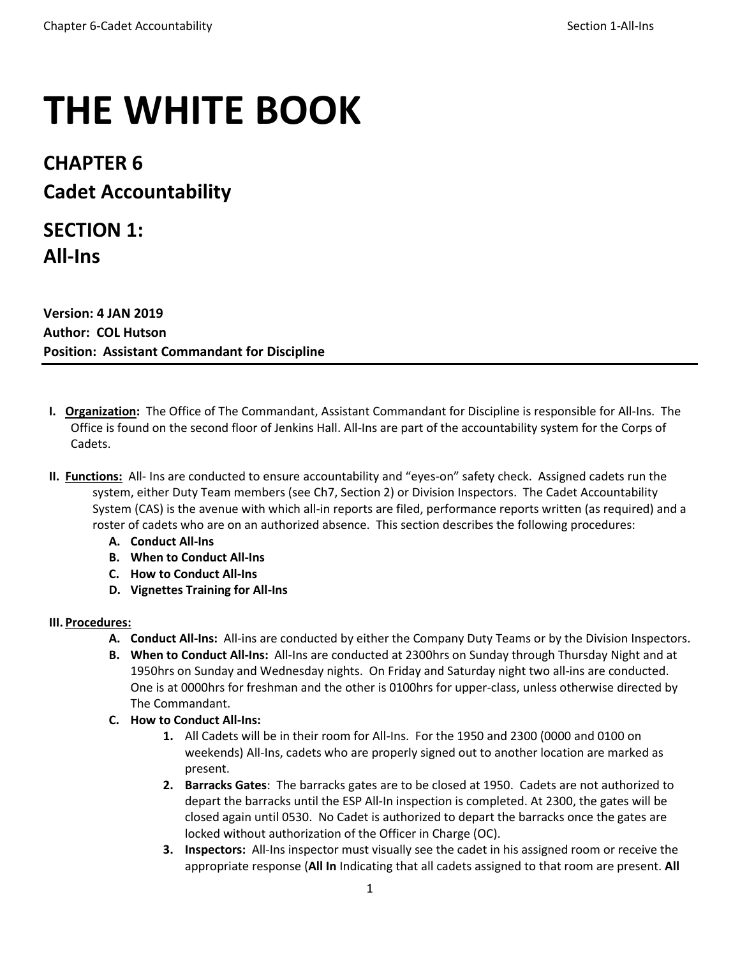# **THE WHITE BOOK**

# **CHAPTER 6 Cadet Accountability**

# **SECTION 1: All-Ins**

**Version: 4 JAN 2019 Author: COL Hutson Position: Assistant Commandant for Discipline**

- **I. Organization:** The Office of The Commandant, Assistant Commandant for Discipline is responsible for All-Ins. The Office is found on the second floor of Jenkins Hall. All-Ins are part of the accountability system for the Corps of Cadets.
- **II. Functions:** All- Ins are conducted to ensure accountability and "eyes-on" safety check. Assigned cadets run the system, either Duty Team members (see Ch7, Section 2) or Division Inspectors. The Cadet Accountability System (CAS) is the avenue with which all-in reports are filed, performance reports written (as required) and a roster of cadets who are on an authorized absence. This section describes the following procedures:
	- **A. Conduct All-Ins**
	- **B. When to Conduct All-Ins**
	- **C. How to Conduct All-Ins**
	- **D. Vignettes Training for All-Ins**

# **III. Procedures:**

- **A. Conduct All-Ins:** All-ins are conducted by either the Company Duty Teams or by the Division Inspectors.
- **B. When to Conduct All-Ins:** All-Ins are conducted at 2300hrs on Sunday through Thursday Night and at 1950hrs on Sunday and Wednesday nights. On Friday and Saturday night two all-ins are conducted. One is at 0000hrs for freshman and the other is 0100hrs for upper-class, unless otherwise directed by The Commandant.
- **C. How to Conduct All-Ins:**
	- **1.** All Cadets will be in their room for All-Ins. For the 1950 and 2300 (0000 and 0100 on weekends) All-Ins, cadets who are properly signed out to another location are marked as present.
	- **2. Barracks Gates**: The barracks gates are to be closed at 1950. Cadets are not authorized to depart the barracks until the ESP All-In inspection is completed. At 2300, the gates will be closed again until 0530. No Cadet is authorized to depart the barracks once the gates are locked without authorization of the Officer in Charge (OC).
	- **3. Inspectors:** All-Ins inspector must visually see the cadet in his assigned room or receive the appropriate response (**All In** Indicating that all cadets assigned to that room are present. **All**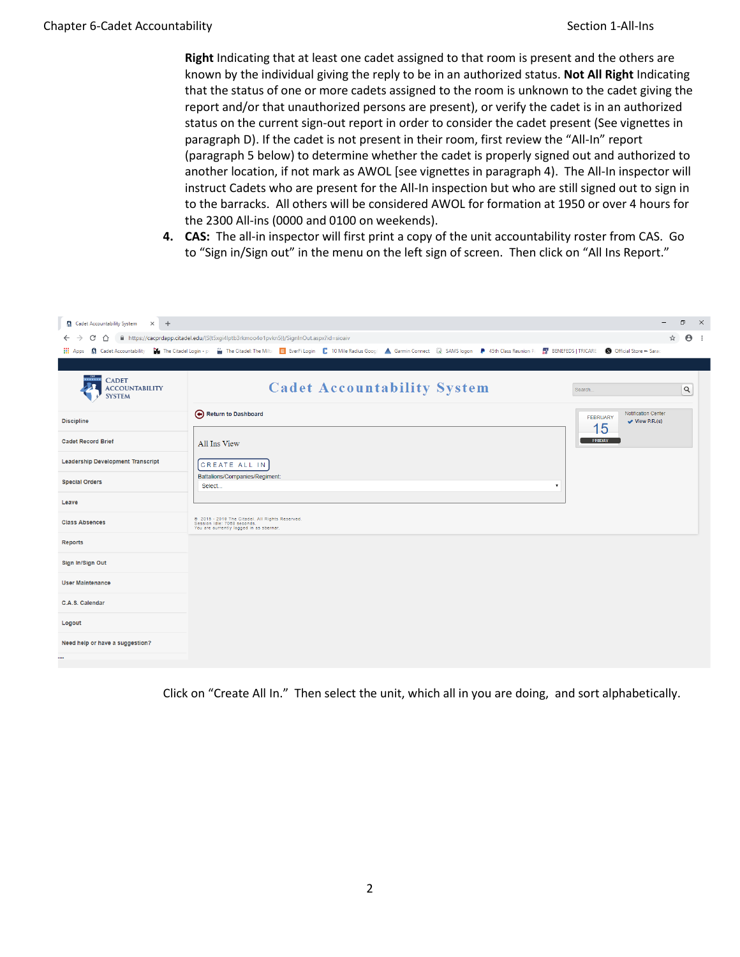**Right** Indicating that at least one cadet assigned to that room is present and the others are known by the individual giving the reply to be in an authorized status. **Not All Right** Indicating that the status of one or more cadets assigned to the room is unknown to the cadet giving the report and/or that unauthorized persons are present), or verify the cadet is in an authorized status on the current sign-out report in order to consider the cadet present (See vignettes in paragraph D). If the cadet is not present in their room, first review the "All-In" report (paragraph 5 below) to determine whether the cadet is properly signed out and authorized to another location, if not mark as AWOL [see vignettes in paragraph 4). The All-In inspector will instruct Cadets who are present for the All-In inspection but who are still signed out to sign in to the barracks. All others will be considered AWOL for formation at 1950 or over 4 hours for the 2300 All-ins (0000 and 0100 on weekends).

**4. CAS:** The all-in inspector will first print a copy of the unit accountability roster from CAS. Go to "Sign in/Sign out" in the menu on the left sign of screen. Then click on "All Ins Report."

| <b>Cadet Accountability System</b><br>$\times$ +                  |                                                                                                                           |                                                                     | σ          | $\mathsf{X}$ |
|-------------------------------------------------------------------|---------------------------------------------------------------------------------------------------------------------------|---------------------------------------------------------------------|------------|--------------|
| G<br>∩                                                            | ■ https://cacprdapp.citadel.edu/(S(t5xqi4lptb3rkmoo4o1pvkn5))/SignInOut.aspx?id=sioaiv                                    | ☆                                                                   | $\Theta$ : |              |
|                                                                   | $\frac{1}{2R}$ BENEFEDS   TRICARE                                                                                         | <b>S</b> Official Store - Sarac                                     |            |              |
|                                                                   |                                                                                                                           |                                                                     |            |              |
| *******<br><b>CADET</b><br><b>ACCOUNTABILITY</b><br><b>SYSTEM</b> | <b>Cadet Accountability System</b><br>Search                                                                              |                                                                     | Q          |              |
| <b>Discipline</b>                                                 | Return to Dashboard                                                                                                       | Notification Center<br><b>FEBRUARY</b><br>$\vee$ View P.R.(s)<br>15 |            |              |
| <b>Cadet Record Brief</b>                                         | All Ins View                                                                                                              | <b>FRIDAY</b>                                                       |            |              |
| <b>Leadership Development Transcript</b>                          | <b>CREATE ALL IN</b>                                                                                                      |                                                                     |            |              |
| <b>Special Orders</b>                                             | Battalions/Companies/Regiment:<br>Select                                                                                  |                                                                     |            |              |
| Leave                                                             |                                                                                                                           |                                                                     |            |              |
| <b>Class Absences</b>                                             | @ 2015 - 2019 The Citadel. All Rights Reserved.<br>Session Idle: 7068 seconds.<br>You are currently logged in as sbernar. |                                                                     |            |              |
| <b>Reports</b>                                                    |                                                                                                                           |                                                                     |            |              |
| Sign In/Sign Out                                                  |                                                                                                                           |                                                                     |            |              |
| <b>User Maintenance</b>                                           |                                                                                                                           |                                                                     |            |              |
| C.A.S. Calendar                                                   |                                                                                                                           |                                                                     |            |              |
| Logout                                                            |                                                                                                                           |                                                                     |            |              |
| Need help or have a suggestion?                                   |                                                                                                                           |                                                                     |            |              |
| $\cdots$                                                          |                                                                                                                           |                                                                     |            |              |

Click on "Create All In." Then select the unit, which all in you are doing, and sort alphabetically.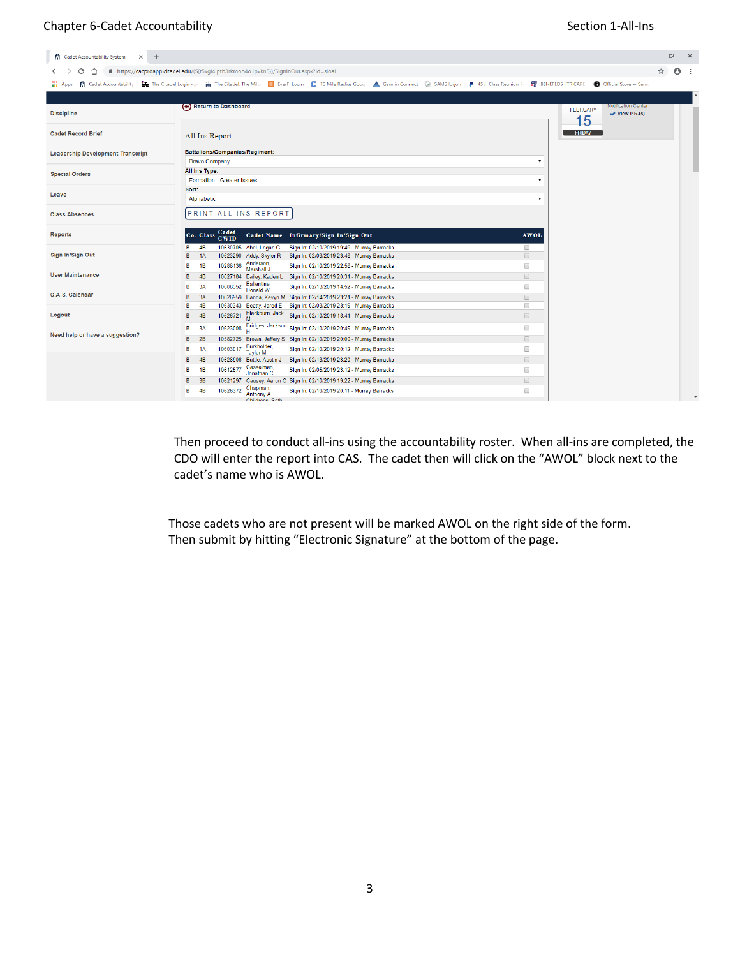# Chapter 6-Cadet Accountability and the section 1-All-Ins

| <b>Cadet Accountability System</b><br>$\times$ +        |                                                                                                                                                                                                                       | ð<br>$\times$                                     |
|---------------------------------------------------------|-----------------------------------------------------------------------------------------------------------------------------------------------------------------------------------------------------------------------|---------------------------------------------------|
| C<br>∩                                                  | ■ https://cacprdapp.citadel.edu/(S(t5xqi4lptb3rkmoo4o1pvkn5))/SignInOut.aspx?id=sioai                                                                                                                                 | ☆<br>$\Theta$ :                                   |
| <b>R</b> Cadet Accountability<br>$\frac{111}{111}$ Apps | May The Citadel Login - p: (a) The Citadel: The Milt: E EverFilogin   10 Mile Radius Goog! ▲ Garmin Connect (a) SAMS logon ● 45th Class Reunion P:   BV BENEFEDS   TRICARE                                            | <b>S</b> Official Store - Sarac                   |
|                                                         |                                                                                                                                                                                                                       |                                                   |
| <b>Discipline</b>                                       | (←) Return to Dashboard<br><b>FEBRUARY</b><br>15                                                                                                                                                                      | <b>Notification Center</b><br>$\vee$ View P.R.(s) |
| <b>Cadet Record Brief</b>                               | <b>FRIDAY</b><br>All Ins Report                                                                                                                                                                                       |                                                   |
| <b>Leadership Development Transcript</b>                | Battalions/Companies/Regiment:<br><b>Bravo Company</b><br>$\overline{\mathbf{v}}$                                                                                                                                     |                                                   |
| <b>Special Orders</b>                                   | All Ins Type:<br>Formation - Greater Issues<br>$\pmb{\mathrm{v}}$                                                                                                                                                     |                                                   |
| Leave                                                   | Sort:<br>Alphabetic<br>$\overline{\mathbf{v}}$                                                                                                                                                                        |                                                   |
| <b>Class Absences</b>                                   | PRINT ALL INS REPORT                                                                                                                                                                                                  |                                                   |
| <b>Reports</b>                                          | Cadet<br>Cadet Name Infirmary/Sign In/Sign Out<br>Co. Class<br><b>AWOL</b><br><b>CWID</b>                                                                                                                             |                                                   |
| Sign In/Sign Out                                        | B<br>4 <sub>B</sub><br>10630705 Abel, Logan G<br>Sign In: 02/10/2019 19:49 - Murray Barracks<br>$\Box$<br>$\qquad \qquad \Box$<br>B<br>1A<br>10623290 Addy, Skyler R<br>Sign In: 02/03/2019 23:48 - Murray Barracks   |                                                   |
| <b>User Maintenance</b>                                 | Anderson,<br>Marshall J<br>10288136<br>$\Box$<br>в<br>Sign In: 02/10/2019 22:58 - Murray Barracks<br>1B<br>B<br>$\qquad \qquad \Box$<br>4B<br>10627184 Bailey, Kaden L<br>Sign In: 02/10/2019 20:31 - Murray Barracks |                                                   |
| C.A.S. Calendar                                         | Ballentine,<br>10608352<br>$\Box$<br>в<br>Sign In: 02/13/2019 14:52 - Murray Barracks<br>3A<br>Donald W<br>B<br>$\qquad \qquad \Box$<br>3A<br>10626959 Banda, Kevyn M Sign In: 02/14/2019 23:21 - Murray Barracks     |                                                   |
| Logout                                                  | B<br>4B<br>Sign In: 02/03/2019 23:19 - Murray Barracks<br>$\Box$<br>10630343 Beatty, Jared E<br>Blackburn, Jack<br>Sign In: 02/10/2019 18:41 - Murray Barracks<br>10626721<br>$\qquad \qquad \Box$<br>в<br>4B<br>M    |                                                   |
| Need help or have a suggestion?                         | Bridges, Jackson Sign In: 02/10/2019 20:49 - Murray Barracks<br>$\Box$<br>в<br>3A<br>10623008<br>B<br>2B<br>10582725 Brown, Jeffery S Sign In: 02/10/2019 20:00 - Murray Barracks<br>$\qquad \qquad \Box$             |                                                   |
|                                                         | Burkholder,<br>$\Box$<br>10603017<br>в<br>Sign In: 02/10/2019 20:12 - Murray Barracks<br>1A<br><b>Taylor M</b>                                                                                                        |                                                   |
|                                                         | $\qquad \qquad \Box$<br>B<br>4B<br>10628906 Buttle, Austin J<br>Sign In: 02/13/2019 23:20 - Murray Barracks<br>Casselman,<br>10612577<br>0<br>в<br>1B<br>Sign In: 02/05/2019 23:12 - Murray Barracks<br>Jonathan C    |                                                   |
|                                                         | $\qquad \qquad \Box$<br>B<br>3B<br>10621297 Causey, Aaron C Sign In: 02/10/2019 19:22 - Murray Barracks<br>Chapman                                                                                                    |                                                   |
|                                                         | 0<br>B<br>4B<br>10626372<br>Sign In: 02/10/2019 20:11 - Murray Barracks<br><b>Anthony A</b><br>Childrene Soth                                                                                                         |                                                   |

Then proceed to conduct all-ins using the accountability roster. When all-ins are completed, the CDO will enter the report into CAS. The cadet then will click on the "AWOL" block next to the cadet's name who is AWOL.

Those cadets who are not present will be marked AWOL on the right side of the form. Then submit by hitting "Electronic Signature" at the bottom of the page.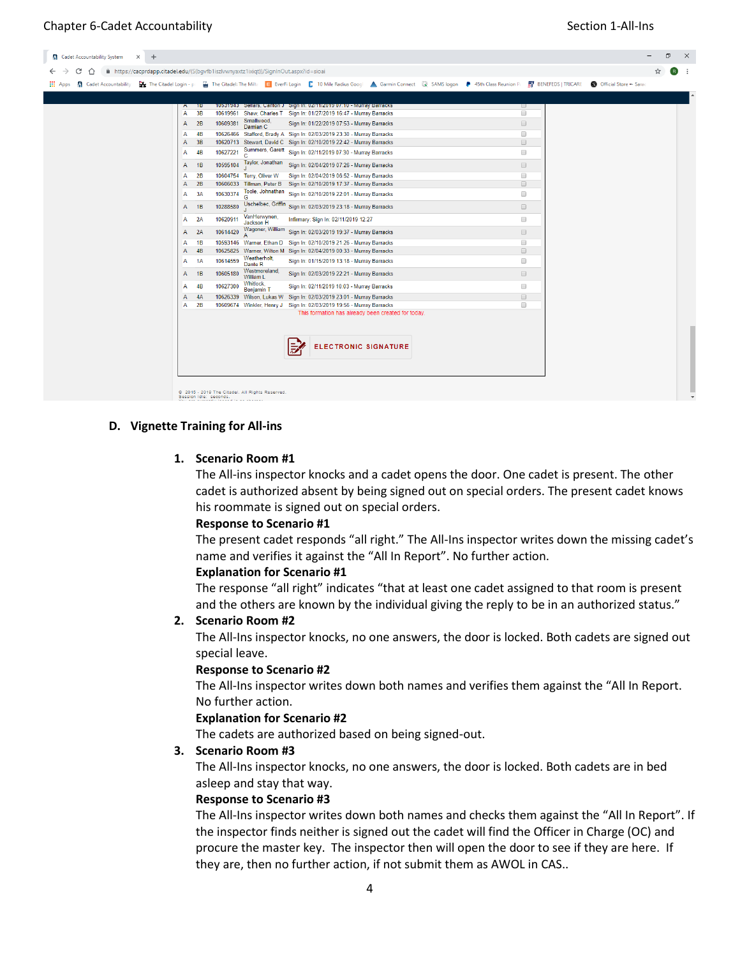| <b>NET Apps R</b> Cadet Accountability |              |           |          |                               | ■ https://cacprdapp.citadel.edu/(S(bgvfb1iszlvwnyaxtz1ixiqt))/SignInOut.aspx?id=sioai<br>The Citadel Login - p: (in The Citadel: The Milt: E EverFi Login   10 Mile Radius Goog! A Garmin Connect (@ SAMS logon P 45th Class Reunion P: EV BENEFEDS   TRICARE   S Official Store ~ Sarac |  |                      |  |  |
|----------------------------------------|--------------|-----------|----------|-------------------------------|------------------------------------------------------------------------------------------------------------------------------------------------------------------------------------------------------------------------------------------------------------------------------------------|--|----------------------|--|--|
|                                        |              |           |          |                               |                                                                                                                                                                                                                                                                                          |  |                      |  |  |
|                                        | A            | ᅚ         |          |                               | 10531943 Sellars, Carlton J Sign In: 02/11/2019 07:10 - Murray Barracks                                                                                                                                                                                                                  |  | ∪                    |  |  |
|                                        | A            | 3B        |          |                               | 10619961 Shaw, Charles T Sign In: 01/27/2019 16:47 - Murray Barracks                                                                                                                                                                                                                     |  | ∩                    |  |  |
|                                        | A            | 2B        | 10609381 | Smallwood,<br>Damian C        | Sign In: 01/22/2019 07:53 - Murray Barracks                                                                                                                                                                                                                                              |  | $\qquad \qquad \Box$ |  |  |
|                                        | A            | 4B        |          |                               | 10626466 Stafford, Brady A Sign In: 02/03/2019 23:30 - Murray Barracks                                                                                                                                                                                                                   |  | $\Box$               |  |  |
|                                        | A            | 3B        |          |                               | 10620713 Stewart, David C Sign In: 02/10/2019 22:42 - Murray Barracks                                                                                                                                                                                                                    |  | $\qquad \qquad \Box$ |  |  |
|                                        | A            | 4B        | 10627221 |                               | Summers, Garett Sign In: 02/11/2019 07:30 - Murray Barracks                                                                                                                                                                                                                              |  | $\Box$               |  |  |
|                                        | A            | 1B        | 10595104 | Taylor, Jonathan              | Sign In: 02/04/2019 07:26 - Murray Barracks                                                                                                                                                                                                                                              |  | $\qquad \qquad \Box$ |  |  |
|                                        | A            | <b>2B</b> |          | 10604754 Terry, Oliver W      | Sign In: 02/04/2019 06:52 - Murray Barracks                                                                                                                                                                                                                                              |  | 0                    |  |  |
|                                        | A            | 2B        |          |                               | 10606033 Tillman, Peter B Sign In: 02/10/2019 17:37 - Murray Barracks                                                                                                                                                                                                                    |  | $\qquad \qquad \Box$ |  |  |
|                                        | A            | 3A        | 10630374 |                               | Toole, Johnathan Sign In: 02/10/2019 22:01 - Murray Barracks                                                                                                                                                                                                                             |  | $\Box$               |  |  |
|                                        | A            | 1B        | 10288580 |                               | Uschelbec, Griffin Sign In: 02/03/2019 23:18 - Murray Barracks                                                                                                                                                                                                                           |  | $\qquad \qquad \Box$ |  |  |
|                                        | Α            | 2A        | 10620911 | VanHerwynen,                  | Infirmary: Sign In: 02/11/2019 12:27                                                                                                                                                                                                                                                     |  | $\Box$               |  |  |
|                                        | A            | 2A        | 10614420 | Jackson H<br>Wagoner, William | Sign In: 02/03/2019 19:37 - Murray Barracks                                                                                                                                                                                                                                              |  | $\qquad \qquad \Box$ |  |  |
|                                        | A            | 1B        |          |                               | 10593146 Warner, Ethan D Sign In: 02/10/2019 21:26 - Murray Barracks                                                                                                                                                                                                                     |  | $\Box$               |  |  |
|                                        | $\mathsf{A}$ | 4B        |          |                               | 10625825 Warner, Wilton M Sign In: 02/04/2019 00:33 - Murray Barracks                                                                                                                                                                                                                    |  | $\Box$               |  |  |
|                                        | A            | 1A        | 10614559 | Weatherholt,<br>Dante R       | Sign In: 01/15/2019 13:18 - Murray Barracks                                                                                                                                                                                                                                              |  | $\Box$               |  |  |
|                                        | A            | 1B        | 10605180 | Westmoreland,<br>William L    | Sign In: 02/03/2019 22:21 - Murray Barracks                                                                                                                                                                                                                                              |  | $\qquad \qquad \Box$ |  |  |
|                                        | A            | 4B        | 10627300 | Whitlock,                     | Sign In: 02/11/2019 10:03 - Murray Barracks                                                                                                                                                                                                                                              |  | $\Box$               |  |  |
|                                        | A            | 4A        |          | <b>Benjamin T</b>             | 10626339 Wilson, Lukas W Sign In: 02/03/2019 23:01 - Murray Barracks                                                                                                                                                                                                                     |  | $\qquad \qquad \Box$ |  |  |
|                                        | A            | 2B        |          |                               | 10609674 Winkler, Henry J Sign In: 02/03/2019 19:56 - Murray Barracks                                                                                                                                                                                                                    |  | $\Box$               |  |  |
|                                        |              |           |          |                               | This formation has already been created for today.                                                                                                                                                                                                                                       |  |                      |  |  |

#### **D. Vignette Training for All-ins**

#### **1. Scenario Room #1**

The All-ins inspector knocks and a cadet opens the door. One cadet is present. The other cadet is authorized absent by being signed out on special orders. The present cadet knows his roommate is signed out on special orders.

#### **Response to Scenario #1**

The present cadet responds "all right." The All-Ins inspector writes down the missing cadet's name and verifies it against the "All In Report". No further action.

#### **Explanation for Scenario #1**

The response "all right" indicates "that at least one cadet assigned to that room is present and the others are known by the individual giving the reply to be in an authorized status."

#### **2. Scenario Room #2**

The All-Ins inspector knocks, no one answers, the door is locked. Both cadets are signed out special leave.

#### **Response to Scenario #2**

The All-Ins inspector writes down both names and verifies them against the "All In Report. No further action.

#### **Explanation for Scenario #2**

The cadets are authorized based on being signed-out.

#### **3. Scenario Room #3**

The All-Ins inspector knocks, no one answers, the door is locked. Both cadets are in bed asleep and stay that way.

#### **Response to Scenario #3**

The All-Ins inspector writes down both names and checks them against the "All In Report". If the inspector finds neither is signed out the cadet will find the Officer in Charge (OC) and procure the master key. The inspector then will open the door to see if they are here. If they are, then no further action, if not submit them as AWOL in CAS..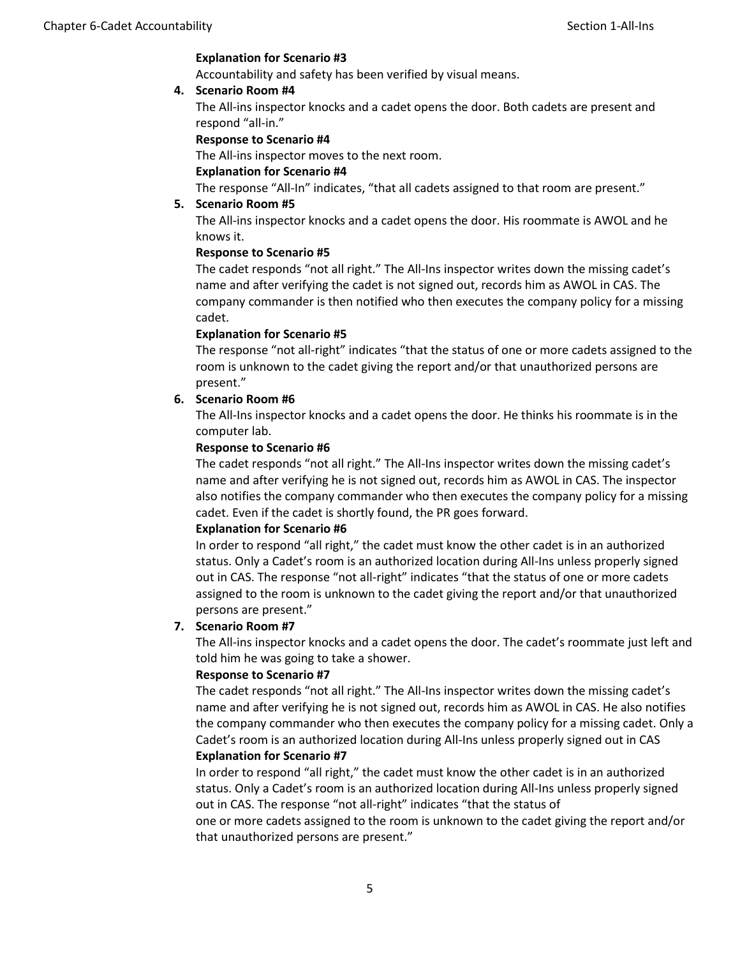#### **Explanation for Scenario #3**

Accountability and safety has been verified by visual means.

#### **4. Scenario Room #4**

The All-ins inspector knocks and a cadet opens the door. Both cadets are present and respond "all-in."

#### **Response to Scenario #4**

The All-ins inspector moves to the next room.

#### **Explanation for Scenario #4**

The response "All-In" indicates, "that all cadets assigned to that room are present."

#### **5. Scenario Room #5**

The All-ins inspector knocks and a cadet opens the door. His roommate is AWOL and he knows it.

#### **Response to Scenario #5**

The cadet responds "not all right." The All-Ins inspector writes down the missing cadet's name and after verifying the cadet is not signed out, records him as AWOL in CAS. The company commander is then notified who then executes the company policy for a missing cadet.

#### **Explanation for Scenario #5**

The response "not all-right" indicates "that the status of one or more cadets assigned to the room is unknown to the cadet giving the report and/or that unauthorized persons are present."

#### **6. Scenario Room #6**

The All-Ins inspector knocks and a cadet opens the door. He thinks his roommate is in the computer lab.

#### **Response to Scenario #6**

The cadet responds "not all right." The All-Ins inspector writes down the missing cadet's name and after verifying he is not signed out, records him as AWOL in CAS. The inspector also notifies the company commander who then executes the company policy for a missing cadet. Even if the cadet is shortly found, the PR goes forward.

#### **Explanation for Scenario #6**

In order to respond "all right," the cadet must know the other cadet is in an authorized status. Only a Cadet's room is an authorized location during All-Ins unless properly signed out in CAS. The response "not all-right" indicates "that the status of one or more cadets assigned to the room is unknown to the cadet giving the report and/or that unauthorized persons are present."

#### **7. Scenario Room #7**

The All-ins inspector knocks and a cadet opens the door. The cadet's roommate just left and told him he was going to take a shower.

#### **Response to Scenario #7**

The cadet responds "not all right." The All-Ins inspector writes down the missing cadet's name and after verifying he is not signed out, records him as AWOL in CAS. He also notifies the company commander who then executes the company policy for a missing cadet. Only a Cadet's room is an authorized location during All-Ins unless properly signed out in CAS **Explanation for Scenario #7**

In order to respond "all right," the cadet must know the other cadet is in an authorized status. Only a Cadet's room is an authorized location during All-Ins unless properly signed out in CAS. The response "not all-right" indicates "that the status of

one or more cadets assigned to the room is unknown to the cadet giving the report and/or that unauthorized persons are present."